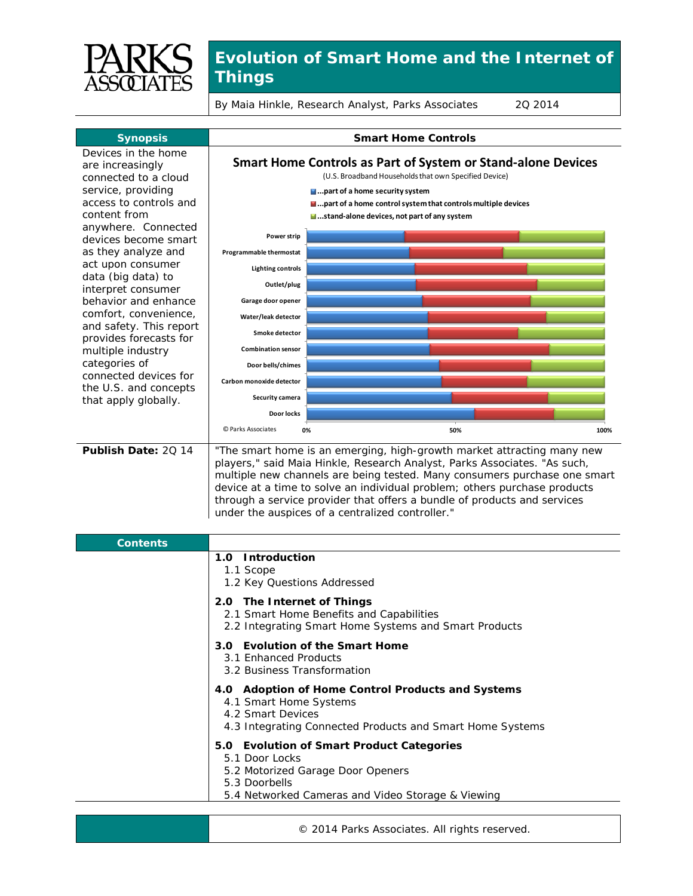

## **Evolution of Smart Home and the Internet of Things**

By Maia Hinkle, Research Analyst, Parks Associates 2Q 2014



© 2014 Parks Associates. All rights reserved.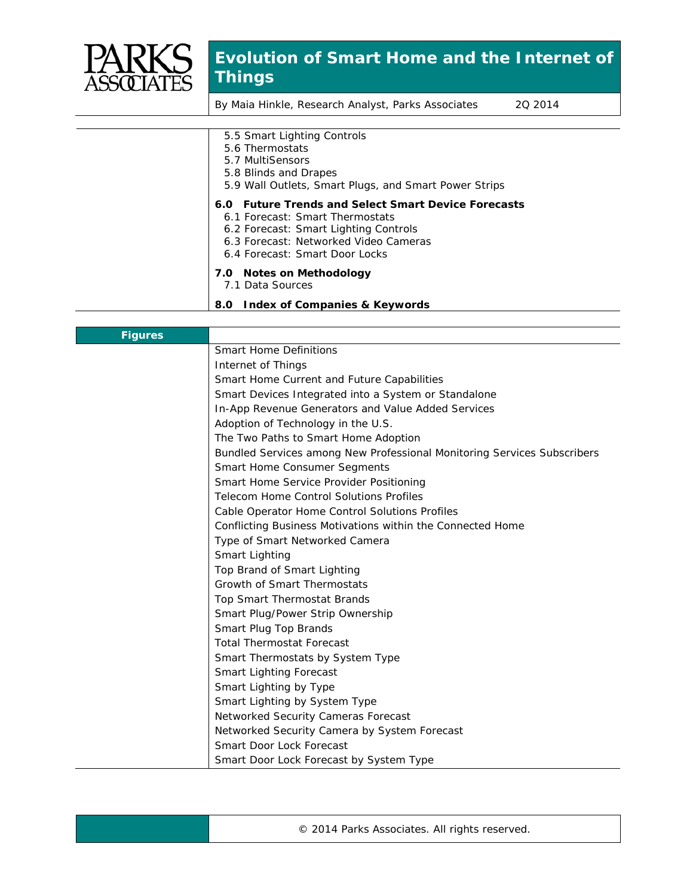

## **Evolution of Smart Home and the Internet of Things**

By Maia Hinkle, Research Analyst, Parks Associates 2Q 2014

| 5.5 Smart Lighting Controls                           |
|-------------------------------------------------------|
| 5.6 Thermostats                                       |
| 5.7 MultiSensors                                      |
| 5.8 Blinds and Drapes                                 |
| 5.9 Wall Outlets, Smart Plugs, and Smart Power Strips |
| 6.0 Future Trends and Select Smart Device Forecasts   |
| 6.1 Forecast: Smart Thermostats                       |
| 6.2 Forecast: Smart Lighting Controls                 |
| 6.3 Forecast: Networked Video Cameras                 |
| 6.4 Forecast: Smart Door Locks                        |
| 7.0 Notes on Methodology                              |
| 7.1 Data Sources                                      |
| 8.0 Index of Companies & Keywords                     |

| <b>Figures</b> |                                                                         |
|----------------|-------------------------------------------------------------------------|
|                | <b>Smart Home Definitions</b>                                           |
|                | Internet of Things                                                      |
|                | Smart Home Current and Future Capabilities                              |
|                | Smart Devices Integrated into a System or Standalone                    |
|                | In-App Revenue Generators and Value Added Services                      |
|                | Adoption of Technology in the U.S.                                      |
|                | The Two Paths to Smart Home Adoption                                    |
|                | Bundled Services among New Professional Monitoring Services Subscribers |
|                | Smart Home Consumer Segments                                            |
|                | Smart Home Service Provider Positioning                                 |
|                | <b>Telecom Home Control Solutions Profiles</b>                          |
|                | Cable Operator Home Control Solutions Profiles                          |
|                | Conflicting Business Motivations within the Connected Home              |
|                | Type of Smart Networked Camera                                          |
|                | Smart Lighting                                                          |
|                | Top Brand of Smart Lighting                                             |
|                | Growth of Smart Thermostats                                             |
|                | Top Smart Thermostat Brands                                             |
|                | Smart Plug/Power Strip Ownership                                        |
|                | Smart Plug Top Brands                                                   |
|                | <b>Total Thermostat Forecast</b>                                        |
|                | Smart Thermostats by System Type                                        |
|                | <b>Smart Lighting Forecast</b>                                          |
|                | Smart Lighting by Type                                                  |
|                | Smart Lighting by System Type                                           |
|                | Networked Security Cameras Forecast                                     |
|                | Networked Security Camera by System Forecast                            |
|                | Smart Door Lock Forecast                                                |
|                | Smart Door Lock Forecast by System Type                                 |